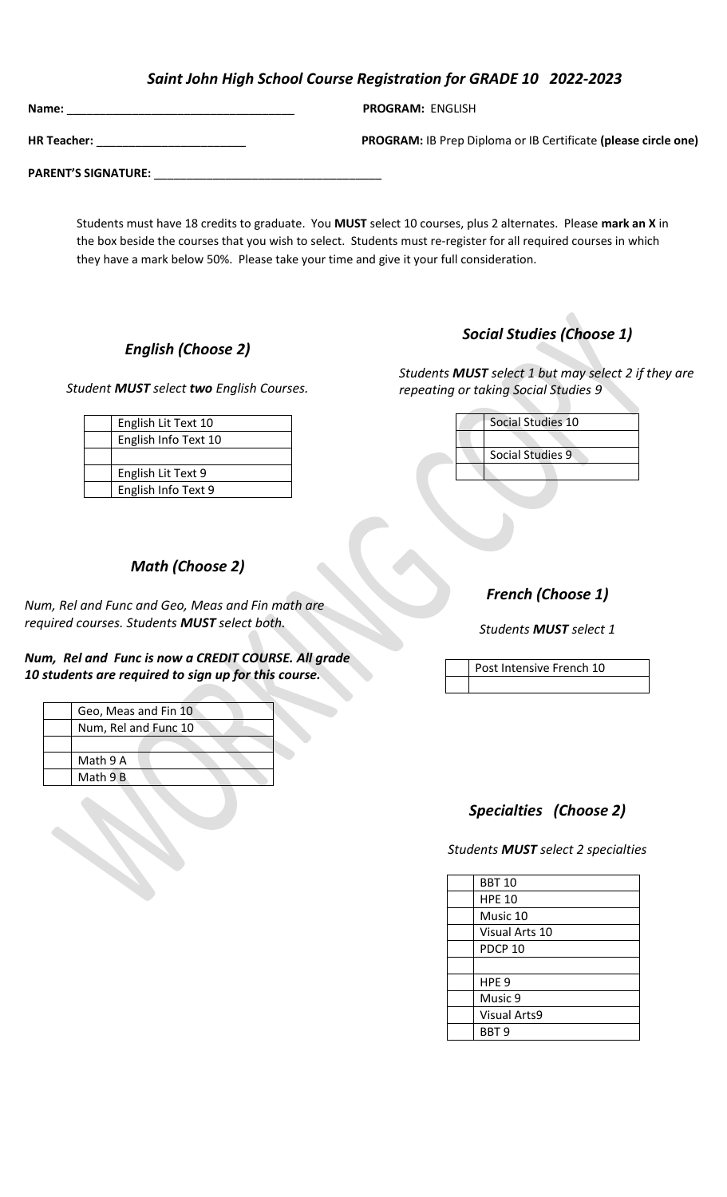### *Saint John High School Course Registration for GRADE 10 2022-2023*

| Name:                      | <b>PROGRAM: ENGLISH</b>                                               |
|----------------------------|-----------------------------------------------------------------------|
| <b>HR Teacher:</b>         | <b>PROGRAM:</b> IB Prep Diploma or IB Certificate (please circle one) |
| <b>PARENT'S SIGNATURE:</b> |                                                                       |

 Students must have 18 credits to graduate. You **MUST** select 10 courses, plus 2 alternates. Please **mark an X** in the box beside the courses that you wish to select. Students must re-register for all required courses in which they have a mark below 50%. Please take your time and give it your full consideration.

### *English (Choose 2)*

*Student MUST select two English Courses.*

English Lit Text 10 English Info Text 10

English Lit Text 9 English Info Text 9

# *Social Studies (Choose 1)*

*Students MUST select 1 but may select 2 if they are repeating or taking Social Studies 9* 

| Social Studies 10 |
|-------------------|
|                   |
| Social Studies 9  |
|                   |
|                   |

## *Math (Choose 2)*

*Num, Rel and Func and Geo, Meas and Fin math are required courses. Students MUST select both.* 

*Num, Rel and Func is now a CREDIT COURSE. All grade 10 students are required to sign up for this course.*



*French (Choose 1)*

*Students MUST select 1*

Post Intensive French 10

## *Specialties (Choose 2)*

*Students MUST select 2 specialties*

| <b>BBT 10</b>       |
|---------------------|
| <b>HPE 10</b>       |
| Music 10            |
| Visual Arts 10      |
| PDCP <sub>10</sub>  |
|                     |
| HPE <sub>9</sub>    |
| Music 9             |
| <b>Visual Arts9</b> |
| BBT <sub>9</sub>    |